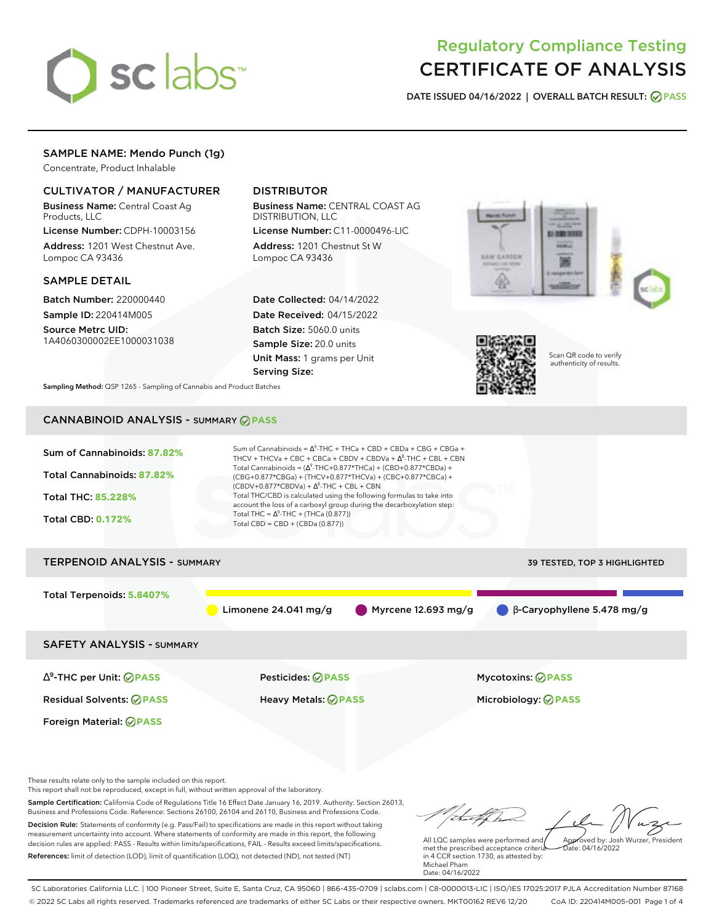

# Regulatory Compliance Testing CERTIFICATE OF ANALYSIS

**DATE ISSUED 04/16/2022 | OVERALL BATCH RESULT: PASS**

### SAMPLE NAME: Mendo Punch (1g)

Concentrate, Product Inhalable

### CULTIVATOR / MANUFACTURER

Business Name: Central Coast Ag Products, LLC

License Number: CDPH-10003156 Address: 1201 West Chestnut Ave. Lompoc CA 93436

### SAMPLE DETAIL

Batch Number: 220000440 Sample ID: 220414M005 Source Metrc UID: 1A4060300002EE1000031038

## DISTRIBUTOR

Business Name: CENTRAL COAST AG DISTRIBUTION, LLC

License Number: C11-0000496-LIC Address: 1201 Chestnut St W Lompoc CA 93436

Date Collected: 04/14/2022 Date Received: 04/15/2022 Batch Size: 5060.0 units Sample Size: 20.0 units Unit Mass: 1 grams per Unit Serving Size:





Scan QR code to verify authenticity of results.

**Sampling Method:** QSP 1265 - Sampling of Cannabis and Product Batches

# CANNABINOID ANALYSIS - SUMMARY **PASS**



This report shall not be reproduced, except in full, without written approval of the laboratory.

Sample Certification: California Code of Regulations Title 16 Effect Date January 16, 2019. Authority: Section 26013, Business and Professions Code. Reference: Sections 26100, 26104 and 26110, Business and Professions Code. Decision Rule: Statements of conformity (e.g. Pass/Fail) to specifications are made in this report without taking measurement uncertainty into account. Where statements of conformity are made in this report, the following decision rules are applied: PASS - Results within limits/specifications, FAIL - Results exceed limits/specifications.

References: limit of detection (LOD), limit of quantification (LOQ), not detected (ND), not tested (NT)

tu of h All LQC samples were performed and Approved by: Josh Wurzer, President

 $hat: 04/16/2022$ 

met the prescribed acceptance criteria in 4 CCR section 1730, as attested by: Michael Pham Date: 04/16/2022

SC Laboratories California LLC. | 100 Pioneer Street, Suite E, Santa Cruz, CA 95060 | 866-435-0709 | sclabs.com | C8-0000013-LIC | ISO/IES 17025:2017 PJLA Accreditation Number 87168 © 2022 SC Labs all rights reserved. Trademarks referenced are trademarks of either SC Labs or their respective owners. MKT00162 REV6 12/20 CoA ID: 220414M005-001 Page 1 of 4